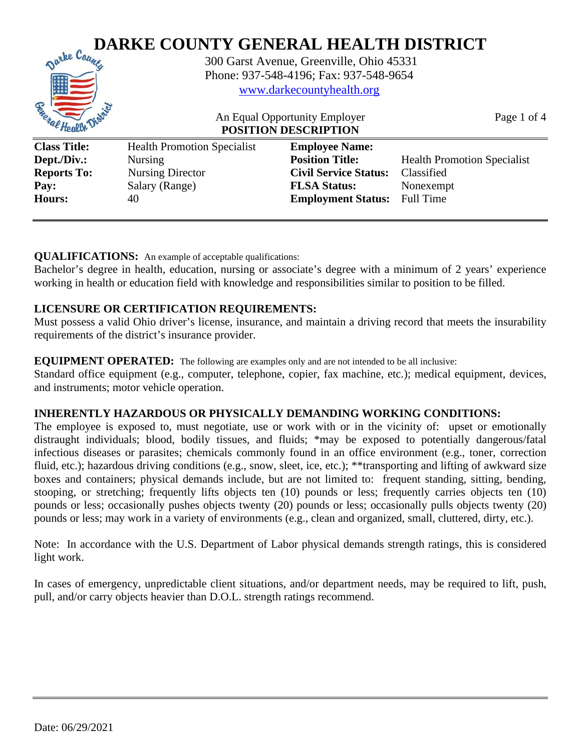

## **QUALIFICATIONS:** An example of acceptable qualifications:

Bachelor's degree in health, education, nursing or associate's degree with a minimum of 2 years' experience working in health or education field with knowledge and responsibilities similar to position to be filled.

## **LICENSURE OR CERTIFICATION REQUIREMENTS:**

Must possess a valid Ohio driver's license, insurance, and maintain a driving record that meets the insurability requirements of the district's insurance provider.

#### **EQUIPMENT OPERATED:** The following are examples only and are not intended to be all inclusive:

Standard office equipment (e.g., computer, telephone, copier, fax machine, etc.); medical equipment, devices, and instruments; motor vehicle operation.

### **INHERENTLY HAZARDOUS OR PHYSICALLY DEMANDING WORKING CONDITIONS:**

The employee is exposed to, must negotiate, use or work with or in the vicinity of: upset or emotionally distraught individuals; blood, bodily tissues, and fluids; \*may be exposed to potentially dangerous/fatal infectious diseases or parasites; chemicals commonly found in an office environment (e.g., toner, correction fluid, etc.); hazardous driving conditions (e.g., snow, sleet, ice, etc.); \*\*transporting and lifting of awkward size boxes and containers; physical demands include, but are not limited to: frequent standing, sitting, bending, stooping, or stretching; frequently lifts objects ten (10) pounds or less; frequently carries objects ten (10) pounds or less; occasionally pushes objects twenty (20) pounds or less; occasionally pulls objects twenty (20) pounds or less; may work in a variety of environments (e.g., clean and organized, small, cluttered, dirty, etc.).

Note: In accordance with the U.S. Department of Labor physical demands strength ratings, this is considered light work.

In cases of emergency, unpredictable client situations, and/or department needs, may be required to lift, push, pull, and/or carry objects heavier than D.O.L. strength ratings recommend.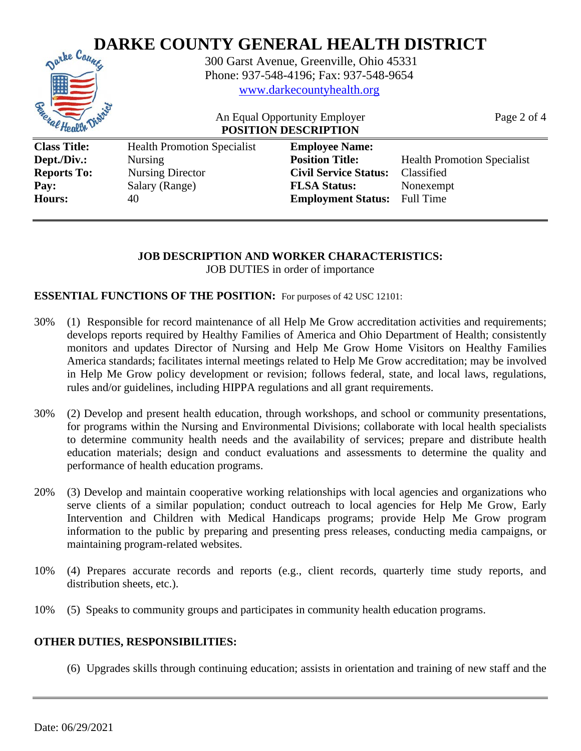

**JOB DESCRIPTION AND WORKER CHARACTERISTICS:**

JOB DUTIES in order of importance

### **ESSENTIAL FUNCTIONS OF THE POSITION:** For purposes of 42 USC 12101:

**Hours:** 40 **Employment Status:** Full Time

- 30% (1) Responsible for record maintenance of all Help Me Grow accreditation activities and requirements; develops reports required by Healthy Families of America and Ohio Department of Health; consistently monitors and updates Director of Nursing and Help Me Grow Home Visitors on Healthy Families America standards; facilitates internal meetings related to Help Me Grow accreditation; may be involved in Help Me Grow policy development or revision; follows federal, state, and local laws, regulations, rules and/or guidelines, including HIPPA regulations and all grant requirements.
- 30% (2) Develop and present health education, through workshops, and school or community presentations, for programs within the Nursing and Environmental Divisions; collaborate with local health specialists to determine community health needs and the availability of services; prepare and distribute health education materials; design and conduct evaluations and assessments to determine the quality and performance of health education programs.
- 20% (3) Develop and maintain cooperative working relationships with local agencies and organizations who serve clients of a similar population; conduct outreach to local agencies for Help Me Grow, Early Intervention and Children with Medical Handicaps programs; provide Help Me Grow program information to the public by preparing and presenting press releases, conducting media campaigns, or maintaining program-related websites.
- 10% (4) Prepares accurate records and reports (e.g., client records, quarterly time study reports, and distribution sheets, etc.).
- 10% (5) Speaks to community groups and participates in community health education programs.

### **OTHER DUTIES, RESPONSIBILITIES:**

(6) Upgrades skills through continuing education; assists in orientation and training of new staff and the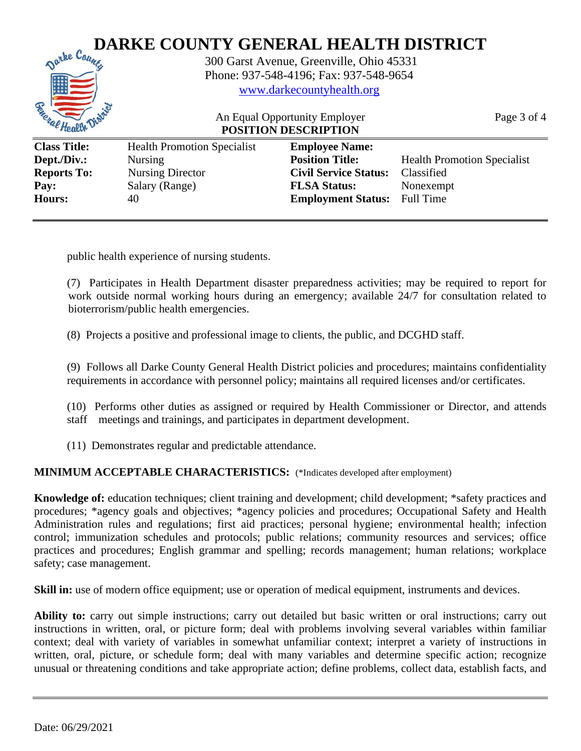

public health experience of nursing students.

(7) Participates in Health Department disaster preparedness activities; may be required to report for work outside normal working hours during an emergency; available 24/7 for consultation related to bioterrorism/public health emergencies.

(8) Projects a positive and professional image to clients, the public, and DCGHD staff.

(9) Follows all Darke County General Health District policies and procedures; maintains confidentiality requirements in accordance with personnel policy; maintains all required licenses and/or certificates.

(10) Performs other duties as assigned or required by Health Commissioner or Director, and attends staff meetings and trainings, and participates in department development.

(11) Demonstrates regular and predictable attendance.

### **MINIMUM ACCEPTABLE CHARACTERISTICS:** (\*Indicates developed after employment)

**Knowledge of:** education techniques; client training and development; child development; \*safety practices and procedures; \*agency goals and objectives; \*agency policies and procedures; Occupational Safety and Health Administration rules and regulations; first aid practices; personal hygiene; environmental health; infection control; immunization schedules and protocols; public relations; community resources and services; office practices and procedures; English grammar and spelling; records management; human relations; workplace safety; case management.

**Skill in:** use of modern office equipment; use or operation of medical equipment, instruments and devices.

**Ability to:** carry out simple instructions; carry out detailed but basic written or oral instructions; carry out instructions in written, oral, or picture form; deal with problems involving several variables within familiar context; deal with variety of variables in somewhat unfamiliar context; interpret a variety of instructions in written, oral, picture, or schedule form; deal with many variables and determine specific action; recognize unusual or threatening conditions and take appropriate action; define problems, collect data, establish facts, and